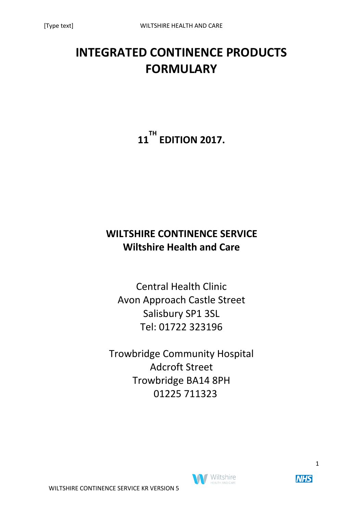# **INTEGRATED CONTINENCE PRODUCTS FORMULARY**

**11 TH EDITION 2017.**

# **WILTSHIRE CONTINENCE SERVICE Wiltshire Health and Care**

Central Health Clinic Avon Approach Castle Street Salisbury SP1 3SL Tel: 01722 323196

Trowbridge Community Hospital Adcroft Street Trowbridge BA14 8PH 01225 711323

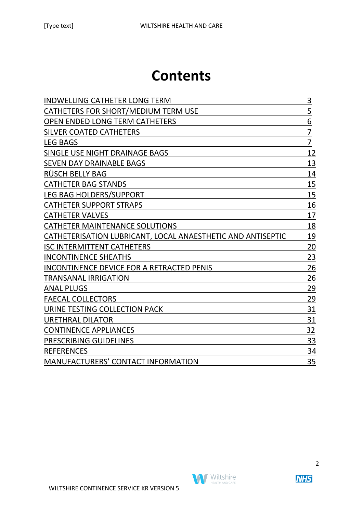# **Contents**

| <b>INDWELLING CATHETER LONG TERM</b>                        | 3              |
|-------------------------------------------------------------|----------------|
| CATHETERS FOR SHORT/MEDIUM TERM USE                         | $\overline{5}$ |
| <b>OPEN ENDED LONG TERM CATHETERS</b>                       | 6              |
| <b>SILVER COATED CATHETERS</b>                              | 7              |
| <b>LEG BAGS</b>                                             | $\overline{7}$ |
| SINGLE USE NIGHT DRAINAGE BAGS                              | 12             |
| <b>SEVEN DAY DRAINABLE BAGS</b>                             | 13             |
| RÜSCH BELLY BAG                                             | 14             |
| <b>CATHETER BAG STANDS</b>                                  | 15             |
| LEG BAG HOLDERS/SUPPORT                                     | 15             |
| <b>CATHETER SUPPORT STRAPS</b>                              | 16             |
| <b>CATHETER VALVES</b>                                      | 17             |
| <b>CATHETER MAINTENANCE SOLUTIONS</b>                       | 18             |
| CATHETERISATION LUBRICANT, LOCAL ANAESTHETIC AND ANTISEPTIC | 19             |
| <b>ISC INTERMITTENT CATHETERS</b>                           | 20             |
| <b>INCONTINENCE SHEATHS</b>                                 | 23             |
| <b>INCONTINENCE DEVICE FOR A RETRACTED PENIS</b>            | 26             |
| <b>TRANSANAL IRRIGATION</b>                                 | 26             |
| <b>ANAL PLUGS</b>                                           | 29             |
| <b>FAECAL COLLECTORS</b>                                    | 29             |
| URINE TESTING COLLECTION PACK                               | 31             |
| <b>URETHRAL DILATOR</b>                                     | 31             |
| <b>CONTINENCE APPLIANCES</b>                                | 32             |
| PRESCRIBING GUIDELINES                                      | 33             |
| <b>REFERENCES</b>                                           | 34             |
| <b>MANUFACTURERS' CONTACT INFORMATION</b>                   | 35             |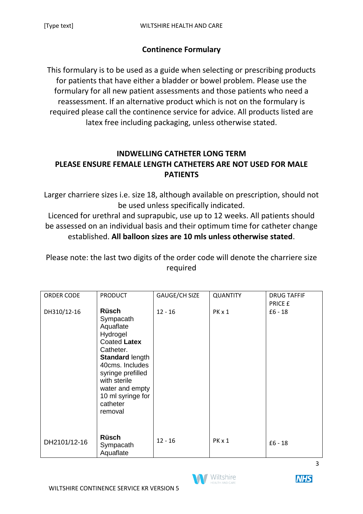# **Continence Formulary**

This formulary is to be used as a guide when selecting or prescribing products for patients that have either a bladder or bowel problem. Please use the formulary for all new patient assessments and those patients who need a reassessment. If an alternative product which is not on the formulary is required please call the continence service for advice. All products listed are latex free including packaging, unless otherwise stated.

# **INDWELLING CATHETER LONG TERM PLEASE ENSURE FEMALE LENGTH CATHETERS ARE NOT USED FOR MALE PATIENTS**

Larger charriere sizes i.e. size 18, although available on prescription, should not be used unless specifically indicated.

Licenced for urethral and suprapubic, use up to 12 weeks. All patients should be assessed on an individual basis and their optimum time for catheter change established. **All balloon sizes are 10 mls unless otherwise stated**.

Please note: the last two digits of the order code will denote the charriere size required

| <b>ORDER CODE</b> | <b>PRODUCT</b>                                                                                                                                                                                                                   | GAUGE/CH SIZE | <b>QUANTITY</b> | <b>DRUG TAFFIF</b><br>PRICE £ |
|-------------------|----------------------------------------------------------------------------------------------------------------------------------------------------------------------------------------------------------------------------------|---------------|-----------------|-------------------------------|
| DH310/12-16       | <b>Rüsch</b><br>Sympacath<br>Aquaflate<br>Hydrogel<br>Coated Latex<br>Catheter.<br><b>Standard length</b><br>40cms. Includes<br>syringe prefilled<br>with sterile<br>water and empty<br>10 ml syringe for<br>catheter<br>removal | $12 - 16$     | PK x 1          | $£6 - 18$                     |
| DH2101/12-16      | <b>Rüsch</b><br>Sympacath<br>Aquaflate                                                                                                                                                                                           | $12 - 16$     | PK x 1          | $£6 - 18$                     |



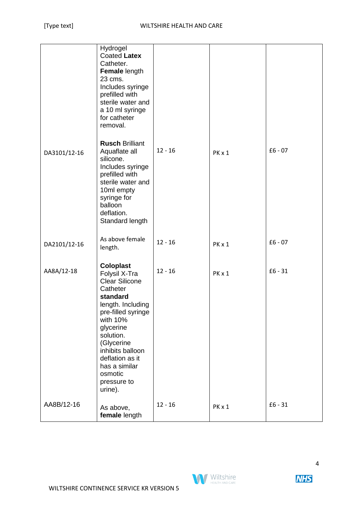|              | Hydrogel<br><b>Coated Latex</b><br>Catheter.<br>Female length<br>23 cms.<br>Includes syringe<br>prefilled with<br>sterile water and<br>a 10 ml syringe<br>for catheter<br>removal.                                                                                             |           |        |           |
|--------------|--------------------------------------------------------------------------------------------------------------------------------------------------------------------------------------------------------------------------------------------------------------------------------|-----------|--------|-----------|
| DA3101/12-16 | <b>Rusch Brilliant</b><br>Aquaflate all<br>silicone.<br>Includes syringe<br>prefilled with<br>sterile water and<br>10ml empty<br>syringe for<br>balloon<br>deflation.<br>Standard length                                                                                       | $12 - 16$ | PK x 1 | $£6 - 07$ |
| DA2101/12-16 | As above female<br>length.                                                                                                                                                                                                                                                     | $12 - 16$ | PK x 1 | $£6 - 07$ |
| AA8A/12-18   | <b>Coloplast</b><br>Folysil X-Tra<br><b>Clear Silicone</b><br>Catheter<br>standard<br>length. Including<br>pre-filled syringe<br>with 10%<br>glycerine<br>solution.<br>(Glycerine<br>inhibits balloon<br>deflation as it<br>has a similar<br>osmotic<br>pressure to<br>urine). | $12 - 16$ | PK x 1 | $£6 - 31$ |
| AA8B/12-16   | As above,<br>female length                                                                                                                                                                                                                                                     | $12 - 16$ | PK x 1 | $£6 - 31$ |

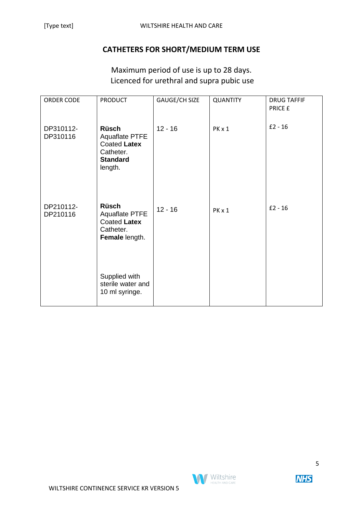#### **CATHETERS FOR SHORT/MEDIUM TERM USE**

Maximum period of use is up to 28 days. Licenced for urethral and supra pubic use

| ORDER CODE            | <b>PRODUCT</b>                                                                            | GAUGE/CH SIZE | <b>QUANTITY</b> | <b>DRUG TAFFIF</b><br>PRICE £ |
|-----------------------|-------------------------------------------------------------------------------------------|---------------|-----------------|-------------------------------|
| DP310112-<br>DP310116 | <b>Rüsch</b><br>Aquaflate PTFE<br>Coated Latex<br>Catheter.<br><b>Standard</b><br>length. | $12 - 16$     | PK x 1          | $£2 - 16$                     |
| DP210112-<br>DP210116 | <b>Rüsch</b><br><b>Aquaflate PTFE</b><br>Coated Latex<br>Catheter.<br>Female length.      | $12 - 16$     | PK x 1          | $£2 - 16$                     |
|                       | Supplied with<br>sterile water and<br>10 ml syringe.                                      |               |                 |                               |

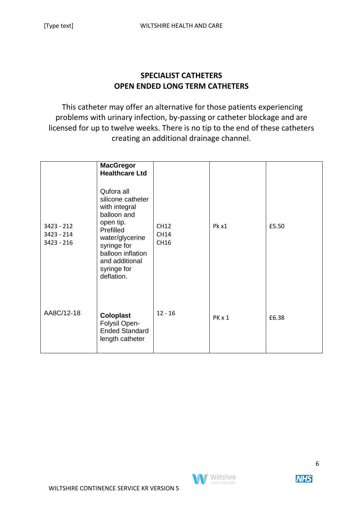#### **SPECIALIST CATHETERS OPEN ENDED LONG TERM CATHETERS**

This catheter may offer an alternative for those patients experiencing problems with urinary infection, by-passing or catheter blockage and are licensed for up to twelve weeks. There is no tip to the end of these catheters creating an additional drainage channel.

|                                          | <b>MacGregor</b><br><b>Healthcare Ltd</b>                                                                                                                                                       |                                    |        |       |
|------------------------------------------|-------------------------------------------------------------------------------------------------------------------------------------------------------------------------------------------------|------------------------------------|--------|-------|
| $3423 - 212$<br>3423 - 214<br>3423 - 216 | Qufora all<br>silicone catheter<br>with integral<br>balloon and<br>open tip.<br>Prefilled<br>water/glycerine<br>syringe for<br>balloon inflation<br>and additional<br>syringe for<br>deflation. | <b>CH12</b><br><b>CH14</b><br>CH16 | Pk x1  | £5.50 |
| AA8C/12-18                               | <b>Coloplast</b><br>Folysil Open-<br><b>Ended Standard</b><br>length catheter                                                                                                                   | $12 - 16$                          | PK x 1 | £6.38 |

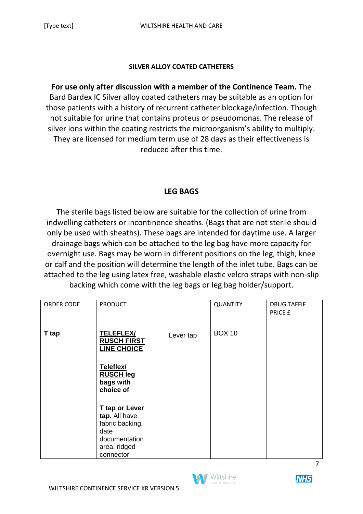#### **SILVER ALLOY COATED CATHETERS**

**For use only after discussion with a member of the Continence Team.** The Bard Bardex IC Silver alloy coated catheters may be suitable as an option for those patients with a history of recurrent catheter blockage/infection. Though not suitable for urine that contains proteus or pseudomonas. The release of silver ions within the coating restricts the microorganism's ability to multiply. They are licensed for medium term use of 28 days as their effectiveness is reduced after this time.

#### **LEG BAGS**

The sterile bags listed below are suitable for the collection of urine from indwelling catheters or incontinence sheaths. (Bags that are not sterile should only be used with sheaths). These bags are intended for daytime use. A larger drainage bags which can be attached to the leg bag have more capacity for overnight use. Bags may be worn in different positions on the leg, thigh, knee or calf and the position will determine the length of the inlet tube. Bags can be attached to the leg using latex free, washable elastic velcro straps with non-slip backing which come with the leg bags or leg bag holder/support.

| ORDER CODE | <b>PRODUCT</b>                                                                                            |           | <b>QUANTITY</b> | <b>DRUG TAFFIF</b><br>PRICE £ |
|------------|-----------------------------------------------------------------------------------------------------------|-----------|-----------------|-------------------------------|
| T tap      | <b>TELEFLEX/</b><br><b>RUSCH FIRST</b><br><b>LINE CHOICE</b>                                              | Lever tap | <b>BOX 10</b>   |                               |
|            | Teleflex/<br><b>RUSCH leg</b><br>bags with<br>choice of                                                   |           |                 |                               |
|            | T tap or Lever<br>tap. All have<br>fabric backing,<br>date<br>documentation<br>area, ridged<br>connector, |           |                 |                               |



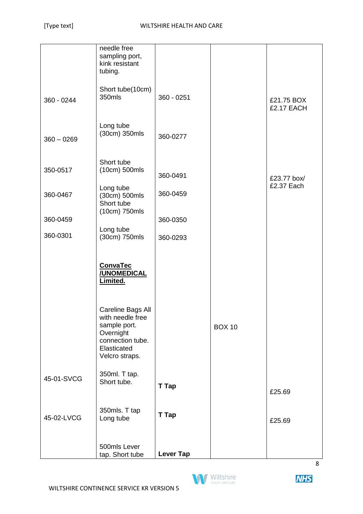|              | needle free                      |                  |               |             |
|--------------|----------------------------------|------------------|---------------|-------------|
|              | sampling port,<br>kink resistant |                  |               |             |
|              | tubing.                          |                  |               |             |
|              |                                  |                  |               |             |
|              | Short tube(10cm)<br>350mls       |                  |               |             |
| 360 - 0244   |                                  | $360 - 0251$     |               | £21.75 BOX  |
|              |                                  |                  |               | £2.17 EACH  |
|              | Long tube                        |                  |               |             |
| $360 - 0269$ | (30cm) 350mls                    | 360-0277         |               |             |
|              |                                  |                  |               |             |
|              |                                  |                  |               |             |
| 350-0517     | Short tube<br>(10cm) 500mls      |                  |               |             |
|              |                                  | 360-0491         |               | £23.77 box/ |
|              | Long tube                        |                  |               | £2.37 Each  |
| 360-0467     | (30cm) 500mls<br>Short tube      | 360-0459         |               |             |
|              | (10cm) 750mls                    |                  |               |             |
| 360-0459     |                                  | 360-0350         |               |             |
| 360-0301     | Long tube                        |                  |               |             |
|              | (30cm) 750mls                    | 360-0293         |               |             |
|              |                                  |                  |               |             |
|              | <b>ConvaTec</b>                  |                  |               |             |
|              | <b>/UNOMEDICAL</b>               |                  |               |             |
|              | Limited.                         |                  |               |             |
|              |                                  |                  |               |             |
|              | Careline Bags All                |                  |               |             |
|              | with needle free                 |                  |               |             |
|              | sample port.<br>Overnight        |                  | <b>BOX 10</b> |             |
|              | connection tube.                 |                  |               |             |
|              | Elasticated                      |                  |               |             |
|              | Velcro straps.                   |                  |               |             |
|              | 350ml. T tap.                    |                  |               |             |
| 45-01-SVCG   | Short tube.                      | T Tap            |               |             |
|              |                                  |                  |               | £25.69      |
|              |                                  |                  |               |             |
| 45-02-LVCG   | 350mls. T tap<br>Long tube       | T Tap            |               | £25.69      |
|              |                                  |                  |               |             |
|              |                                  |                  |               |             |
|              | 500mls Lever                     |                  |               |             |
|              | tap. Short tube                  | <b>Lever Tap</b> |               |             |

**M** Wiltshire HEALTH AND CAR

**NHS**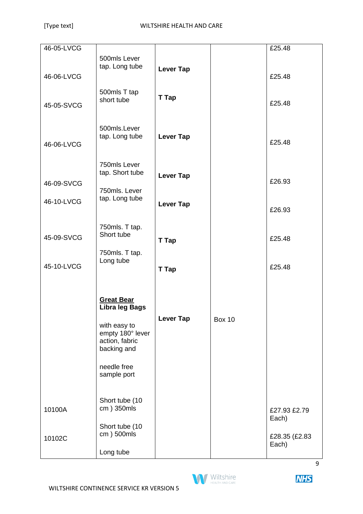| 46-05-LVCG |                                                                                                          |                  |               | £25.48                 |
|------------|----------------------------------------------------------------------------------------------------------|------------------|---------------|------------------------|
|            | 500mls Lever                                                                                             |                  |               |                        |
| 46-06-LVCG | tap. Long tube                                                                                           | <b>Lever Tap</b> |               | £25.48                 |
| 45-05-SVCG | 500mls T tap<br>short tube                                                                               | T Tap            |               | £25.48                 |
| 46-06-LVCG | 500mls.Lever<br>tap. Long tube                                                                           | <b>Lever Tap</b> |               | £25.48                 |
| 46-09-SVCG | 750mls Lever<br>tap. Short tube<br>750mls. Lever                                                         | <b>Lever Tap</b> |               | £26.93                 |
| 46-10-LVCG | tap. Long tube                                                                                           | <b>Lever Tap</b> |               | £26.93                 |
| 45-09-SVCG | 750mls. T tap.<br>Short tube                                                                             | T Tap            |               | £25.48                 |
| 45-10-LVCG | 750mls. T tap.<br>Long tube                                                                              | <b>T</b> Tap     |               | £25.48                 |
|            | <b>Great Bear</b><br>Libra leg Bags<br>with easy to<br>empty 180° lever<br>action, fabric<br>backing and | <b>Lever Tap</b> | <b>Box 10</b> |                        |
|            | needle free<br>sample port                                                                               |                  |               |                        |
| 10100A     | Short tube (10<br>cm) 350mls<br>Short tube (10<br>cm) 500mls                                             |                  |               | £27.93 £2.79<br>Each)  |
| 10102C     | Long tube                                                                                                |                  |               | £28.35 (£2.83<br>Each) |



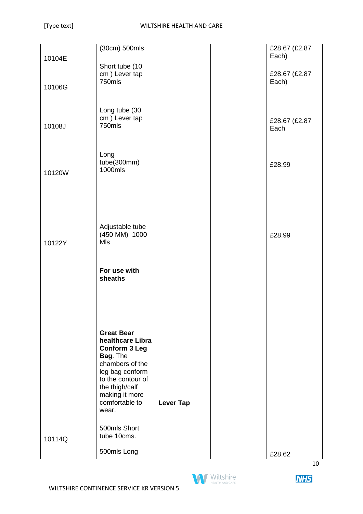|        | (30cm) 500mls               |                  | £28.67 (£2.87          |
|--------|-----------------------------|------------------|------------------------|
|        |                             |                  | Each)                  |
| 10104E |                             |                  |                        |
|        | Short tube (10              |                  |                        |
|        | cm) Lever tap<br>750mls     |                  | £28.67 (£2.87<br>Each) |
| 10106G |                             |                  |                        |
|        |                             |                  |                        |
|        |                             |                  |                        |
|        | Long tube (30               |                  |                        |
|        | cm) Lever tap               |                  | £28.67 (£2.87          |
| 10108J | 750mls                      |                  | Each                   |
|        |                             |                  |                        |
|        |                             |                  |                        |
|        | Long                        |                  |                        |
|        | tube(300mm)                 |                  | £28.99                 |
| 10120W | 1000mls                     |                  |                        |
|        |                             |                  |                        |
|        |                             |                  |                        |
|        |                             |                  |                        |
|        |                             |                  |                        |
|        |                             |                  |                        |
|        | Adjustable tube             |                  |                        |
|        | (450 MM) 1000               |                  | £28.99                 |
| 10122Y | MIs                         |                  |                        |
|        |                             |                  |                        |
|        |                             |                  |                        |
|        | For use with                |                  |                        |
|        | sheaths                     |                  |                        |
|        |                             |                  |                        |
|        |                             |                  |                        |
|        |                             |                  |                        |
|        |                             |                  |                        |
|        |                             |                  |                        |
|        | <b>Great Bear</b>           |                  |                        |
|        | healthcare Libra            |                  |                        |
|        | <b>Conform 3 Leg</b>        |                  |                        |
|        | Bag. The<br>chambers of the |                  |                        |
|        | leg bag conform             |                  |                        |
|        | to the contour of           |                  |                        |
|        | the thigh/calf              |                  |                        |
|        | making it more              |                  |                        |
|        | comfortable to              | <b>Lever Tap</b> |                        |
|        | wear.                       |                  |                        |
|        |                             |                  |                        |
|        | 500mls Short                |                  |                        |
| 10114Q | tube 10cms.                 |                  |                        |
|        | 500mls Long                 |                  | £28.62                 |
|        |                             |                  |                        |

10

**NHS** 

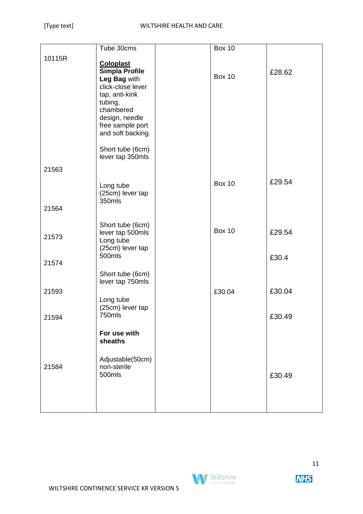|        | Tube 30cms                            | <b>Box 10</b> |        |
|--------|---------------------------------------|---------------|--------|
| 10115R |                                       |               |        |
|        | <b>Coloplast</b>                      |               |        |
|        | Simpla Profile                        | <b>Box 10</b> | £28.62 |
|        | Leg Bag with                          |               |        |
|        | click-close lever                     |               |        |
|        | tap, anti-kink                        |               |        |
|        | tubing,                               |               |        |
|        | chambered                             |               |        |
|        | design, needle                        |               |        |
|        | free sample port<br>and soft backing. |               |        |
|        |                                       |               |        |
|        | Short tube (6cm)                      |               |        |
|        | lever tap 350mls                      |               |        |
|        |                                       |               |        |
| 21563  |                                       |               |        |
|        |                                       | <b>Box 10</b> | £29.54 |
|        | Long tube<br>(25cm) lever tap         |               |        |
|        | 350mls                                |               |        |
| 21564  |                                       |               |        |
|        |                                       |               |        |
|        | Short tube (6cm)                      |               |        |
|        | lever tap 500mls                      | <b>Box 10</b> | £29.54 |
| 21573  | Long tube                             |               |        |
|        | (25cm) lever tap                      |               |        |
|        | 500mls                                |               | £30.4  |
| 21574  |                                       |               |        |
|        | Short tube (6cm)                      |               |        |
|        | lever tap 750mls                      |               |        |
| 21593  |                                       | £30.04        | £30.04 |
|        | Long tube                             |               |        |
|        | (25cm) lever tap                      |               |        |
| 21594  | 750mls                                |               | £30.49 |
|        |                                       |               |        |
|        | For use with                          |               |        |
|        | sheaths                               |               |        |
|        |                                       |               |        |
|        | Adjustable(50cm)                      |               |        |
| 21584  | non-sterile                           |               |        |
|        | 500mls                                |               | £30.49 |
|        |                                       |               |        |
|        |                                       |               |        |
|        |                                       |               |        |
|        |                                       |               |        |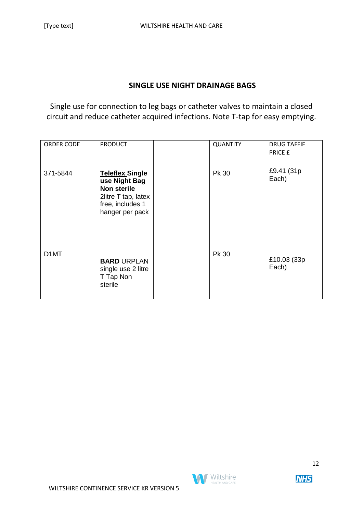#### **SINGLE USE NIGHT DRAINAGE BAGS**

Single use for connection to leg bags or catheter valves to maintain a closed circuit and reduce catheter acquired infections. Note T-tap for easy emptying.

| ORDER CODE        | <b>PRODUCT</b>                                                                                                              | <b>QUANTITY</b> | <b>DRUG TAFFIF</b><br>PRICE £ |
|-------------------|-----------------------------------------------------------------------------------------------------------------------------|-----------------|-------------------------------|
| 371-5844          | <b>Teleflex Single</b><br>use Night Bag<br><b>Non sterile</b><br>2litre T tap, latex<br>free, includes 1<br>hanger per pack | Pk 30           | £9.41 (31p)<br>Each)          |
| D <sub>1</sub> MT | <b>BARD URPLAN</b><br>single use 2 litre<br>T Tap Non<br>sterile                                                            | Pk 30           | £10.03 (33p)<br>Each)         |

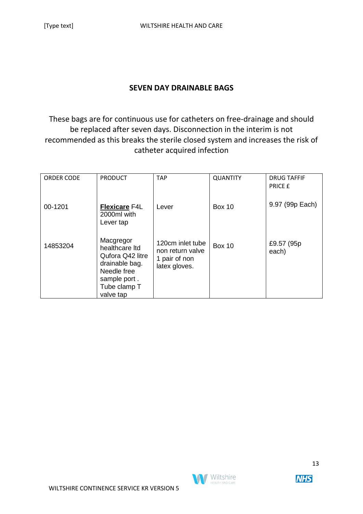#### **SEVEN DAY DRAINABLE BAGS**

These bags are for continuous use for catheters on free-drainage and should be replaced after seven days. Disconnection in the interim is not recommended as this breaks the sterile closed system and increases the risk of catheter acquired infection

| ORDER CODE | <b>PRODUCT</b>                                                                                                                | <b>TAP</b>                                                             | <b>QUANTITY</b> | <b>DRUG TAFFIF</b><br><b>PRICE £</b> |
|------------|-------------------------------------------------------------------------------------------------------------------------------|------------------------------------------------------------------------|-----------------|--------------------------------------|
| 00-1201    | <b>Flexicare F4L</b><br>2000ml with<br>Lever tap                                                                              | Lever                                                                  | <b>Box 10</b>   | 9.97 (99p Each)                      |
| 14853204   | Macgregor<br>healthcare Itd<br>Qufora Q42 litre<br>drainable bag.<br>Needle free<br>sample port.<br>Tube clamp T<br>valve tap | 120cm inlet tube<br>non return valve<br>1 pair of non<br>latex gloves. | <b>Box 10</b>   | £9.57 (95p)<br>each)                 |

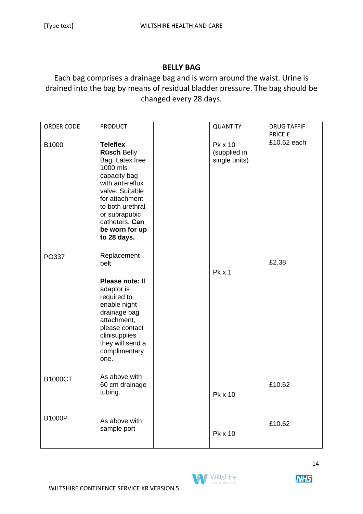#### **BELLY BAG**

Each bag comprises a drainage bag and is worn around the waist. Urine is drained into the bag by means of residual bladder pressure. The bag should be changed every 28 days.

| <b>ORDER CODE</b> | <b>PRODUCT</b>                                                                                                                                                                                                                        | <b>QUANTITY</b>                          | <b>DRUG TAFFIF</b>     |
|-------------------|---------------------------------------------------------------------------------------------------------------------------------------------------------------------------------------------------------------------------------------|------------------------------------------|------------------------|
| B1000             | <b>Teleflex</b><br><b>Rüsch Belly</b><br>Bag. Latex free<br>1000 mls<br>capacity bag<br>with anti-reflux<br>valve. Suitable<br>for attachment<br>to both urethral<br>or suprapubic<br>catheters. Can<br>be worn for up<br>to 28 days. | Pk x 10<br>(supplied in<br>single units) | PRICE £<br>£10.62 each |
| PO337             | Replacement<br>belt<br>Please note: If<br>adaptor is<br>required to<br>enable night<br>drainage bag<br>attachment,<br>please contact<br>clinisupplies<br>they will send a<br>complimentary<br>one.                                    | Pk x 1                                   | £2.38                  |
| <b>B1000CT</b>    | As above with<br>60 cm drainage<br>tubing.                                                                                                                                                                                            | Pk x 10                                  | £10.62                 |
| <b>B1000P</b>     | As above with<br>sample port                                                                                                                                                                                                          | Pk x 10                                  | £10.62                 |

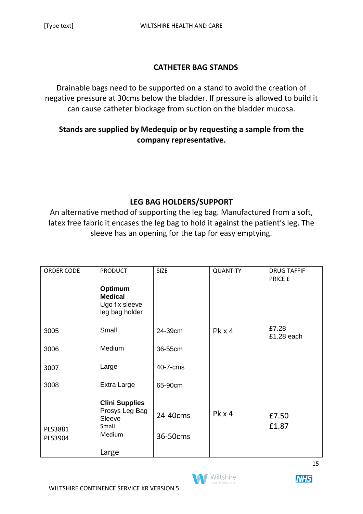#### **CATHETER BAG STANDS**

Drainable bags need to be supported on a stand to avoid the creation of negative pressure at 30cms below the bladder. If pressure is allowed to build it can cause catheter blockage from suction on the bladder mucosa.

# **Stands are supplied by Medequip or by requesting a sample from the company representative.**

## **LEG BAG HOLDERS/SUPPORT**

An alternative method of supporting the leg bag. Manufactured from a soft, latex free fabric it encases the leg bag to hold it against the patient's leg. The sleeve has an opening for the tap for easy emptying.

| <b>ORDER CODE</b> | <b>PRODUCT</b>            | <b>SIZE</b> | <b>QUANTITY</b> | <b>DRUG TAFFIF</b> |
|-------------------|---------------------------|-------------|-----------------|--------------------|
|                   |                           |             |                 | PRICE £            |
|                   | Optimum<br><b>Medical</b> |             |                 |                    |
|                   | Ugo fix sleeve            |             |                 |                    |
|                   | leg bag holder            |             |                 |                    |
| 3005              | Small                     | 24-39cm     |                 | £7.28              |
|                   |                           |             | $PK \times 4$   | £1.28 each         |
| 3006              | Medium                    | 36-55cm     |                 |                    |
|                   |                           |             |                 |                    |
| 3007              | Large                     | 40-7-cms    |                 |                    |
| 3008              | Extra Large               | 65-90cm     |                 |                    |
|                   |                           |             |                 |                    |
|                   | <b>Clini Supplies</b>     |             |                 |                    |
|                   | Prosys Leg Bag<br>Sleeve  | 24-40cms    | Pk x 4          | £7.50              |
| PLS3881           | Small                     |             |                 | £1.87              |
| PLS3904           | Medium                    | 36-50cms    |                 |                    |
|                   | Large                     |             |                 |                    |
|                   |                           |             |                 |                    |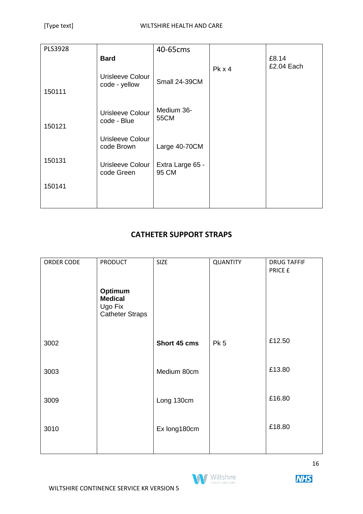| PLS3928 |                                   | 40-65cms                  |        |            |
|---------|-----------------------------------|---------------------------|--------|------------|
|         | <b>Bard</b>                       |                           |        | £8.14      |
| 150111  | Urisleeve Colour<br>code - yellow | Small 24-39CM             | Pk x 4 | £2.04 Each |
| 150121  | Urisleeve Colour<br>code - Blue   | Medium 36-<br>55CM        |        |            |
|         | Urisleeve Colour<br>code Brown    | Large 40-70CM             |        |            |
| 150131  | Urisleeve Colour<br>code Green    | Extra Large 65 -<br>95 CM |        |            |
| 150141  |                                   |                           |        |            |
|         |                                   |                           |        |            |

# **CATHETER SUPPORT STRAPS**

| ORDER CODE | <b>PRODUCT</b>                                                 | <b>SIZE</b>  | QUANTITY        | <b>DRUG TAFFIF</b><br>PRICE £ |
|------------|----------------------------------------------------------------|--------------|-----------------|-------------------------------|
|            | Optimum<br><b>Medical</b><br>Ugo Fix<br><b>Catheter Straps</b> |              |                 |                               |
| 3002       |                                                                | Short 45 cms | Pk <sub>5</sub> | £12.50                        |
| 3003       |                                                                | Medium 80cm  |                 | £13.80                        |
| 3009       |                                                                | Long 130cm   |                 | £16.80                        |
| 3010       |                                                                | Ex long180cm |                 | £18.80                        |
|            |                                                                |              |                 |                               |

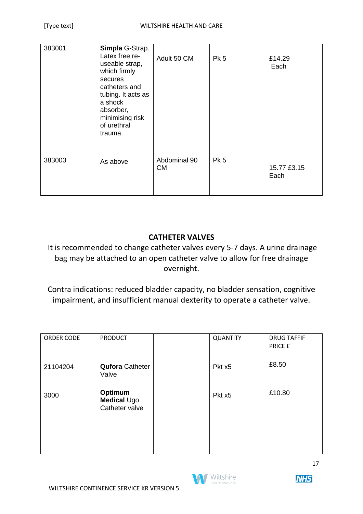| 383001 | Simpla G-Strap.<br>Latex free re-<br>useable strap,<br>which firmly<br>secures<br>catheters and<br>tubing. It acts as<br>a shock<br>absorber,<br>minimising risk<br>of urethral<br>trauma. | Adult 50 CM               | <b>Pk 5</b>     | £14.29<br>Each      |
|--------|--------------------------------------------------------------------------------------------------------------------------------------------------------------------------------------------|---------------------------|-----------------|---------------------|
| 383003 | As above                                                                                                                                                                                   | Abdominal 90<br><b>CM</b> | Pk <sub>5</sub> | 15.77 £3.15<br>Each |

# **CATHETER VALVES**

It is recommended to change catheter valves every 5-7 days. A urine drainage bag may be attached to an open catheter valve to allow for free drainage overnight.

Contra indications: reduced bladder capacity, no bladder sensation, cognitive impairment, and insufficient manual dexterity to operate a catheter valve.

| ORDER CODE | <b>PRODUCT</b>                           | <b>QUANTITY</b>    | <b>DRUG TAFFIF</b><br>PRICE £ |
|------------|------------------------------------------|--------------------|-------------------------------|
| 21104204   | <b>Qufora Catheter</b><br>Valve          | Pkt x <sub>5</sub> | £8.50                         |
| 3000       | Optimum<br>Medical Ugo<br>Catheter valve | Pkt x5             | £10.80                        |
|            |                                          |                    |                               |



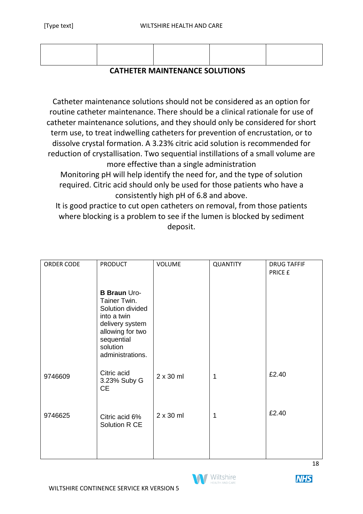#### **CATHETER MAINTENANCE SOLUTIONS**

Catheter maintenance solutions should not be considered as an option for routine catheter maintenance. There should be a clinical rationale for use of catheter maintenance solutions, and they should only be considered for short term use, to treat indwelling catheters for prevention of encrustation, or to dissolve crystal formation. A 3.23% citric acid solution is recommended for reduction of crystallisation. Two sequential instillations of a small volume are more effective than a single administration

Monitoring pH will help identify the need for, and the type of solution required. Citric acid should only be used for those patients who have a consistently high pH of 6.8 and above.

It is good practice to cut open catheters on removal, from those patients where blocking is a problem to see if the lumen is blocked by sediment deposit.

| ORDER CODE | <b>PRODUCT</b>                                                                                                                                              | <b>VOLUME</b>    | <b>QUANTITY</b> | <b>DRUG TAFFIF</b><br>PRICE £ |
|------------|-------------------------------------------------------------------------------------------------------------------------------------------------------------|------------------|-----------------|-------------------------------|
|            | <b>B Braun Uro-</b><br>Tainer Twin.<br>Solution divided<br>into a twin<br>delivery system<br>allowing for two<br>sequential<br>solution<br>administrations. |                  |                 |                               |
| 9746609    | Citric acid<br>3.23% Suby G<br><b>CE</b>                                                                                                                    | $2 \times 30$ ml | 1               | £2.40                         |
| 9746625    | Citric acid 6%<br>Solution R CE                                                                                                                             | $2 \times 30$ ml | 1               | £2.40                         |
|            |                                                                                                                                                             |                  |                 | 18                            |

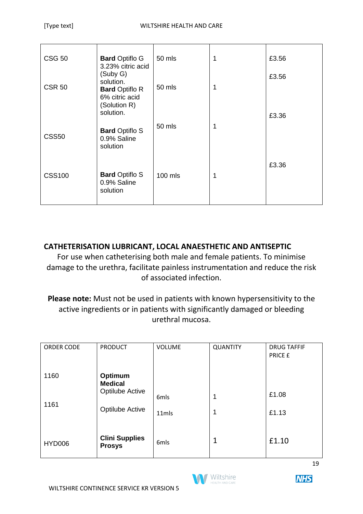| <b>CSG 50</b> | <b>Bard Optiflo G</b><br>3.23% citric acid                                       | 50 mls  | 1 | £3.56 |
|---------------|----------------------------------------------------------------------------------|---------|---|-------|
| <b>CSR 50</b> | (Suby G)<br>solution.<br><b>Bard Optiflo R</b><br>6% citric acid<br>(Solution R) | 50 mls  | 1 | £3.56 |
| <b>CSS50</b>  | solution.<br><b>Bard Optiflo S</b><br>0.9% Saline<br>solution                    | 50 mls  | 1 | £3.36 |
| <b>CSS100</b> | <b>Bard Optiflo S</b><br>0.9% Saline<br>solution                                 | 100 mls | 1 | £3.36 |

## **CATHETERISATION LUBRICANT, LOCAL ANAESTHETIC AND ANTISEPTIC**

For use when catheterising both male and female patients. To minimise damage to the urethra, facilitate painless instrumentation and reduce the risk of associated infection.

**Please note:** Must not be used in patients with known hypersensitivity to the active ingredients or in patients with significantly damaged or bleeding urethral mucosa.

| ORDER CODE    | <b>PRODUCT</b>                         | <b>VOLUME</b> | <b>QUANTITY</b> | <b>DRUG TAFFIF</b><br>PRICE £ |
|---------------|----------------------------------------|---------------|-----------------|-------------------------------|
| 1160          | Optimum<br><b>Medical</b>              |               |                 |                               |
|               | <b>Optilube Active</b>                 | 6mls          | 1               | £1.08                         |
| 1161          | <b>Optilube Active</b>                 | 11mls         | 1               | £1.13                         |
| <b>HYD006</b> | <b>Clini Supplies</b><br><b>Prosys</b> | 6mls          | $\mathbf{1}$    | £1.10                         |



**NHS**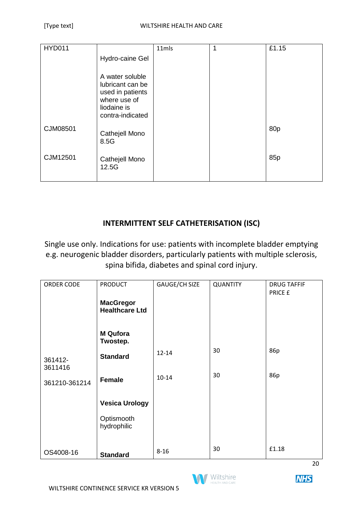| <b>HYD011</b> |                                                                                                            | 11mls | 1 | £1.15           |
|---------------|------------------------------------------------------------------------------------------------------------|-------|---|-----------------|
|               | Hydro-caine Gel                                                                                            |       |   |                 |
|               | A water soluble<br>lubricant can be<br>used in patients<br>where use of<br>liodaine is<br>contra-indicated |       |   |                 |
| CJM08501      | Cathejell Mono<br>8.5G                                                                                     |       |   | 80 <sub>p</sub> |
| CJM12501      | Cathejell Mono<br>12.5G                                                                                    |       |   | 85 <sub>p</sub> |

# **INTERMITTENT SELF CATHETERISATION (ISC)**

Single use only. Indications for use: patients with incomplete bladder emptying e.g. neurogenic bladder disorders, particularly patients with multiple sclerosis, spina bifida, diabetes and spinal cord injury.

| ORDER CODE                          | <b>PRODUCT</b>                            | GAUGE/CH SIZE | <b>QUANTITY</b> | <b>DRUG TAFFIF</b><br>PRICE £ |
|-------------------------------------|-------------------------------------------|---------------|-----------------|-------------------------------|
|                                     | <b>MacGregor</b><br><b>Healthcare Ltd</b> |               |                 |                               |
|                                     | <b>M</b> Qufora<br>Twostep.               |               |                 |                               |
| 361412-<br>3611416<br>361210-361214 | <b>Standard</b>                           | $12 - 14$     | 30              | 86p                           |
|                                     | Female                                    | $10 - 14$     | 30              | 86p                           |
|                                     | <b>Vesica Urology</b>                     |               |                 |                               |
|                                     | Optismooth<br>hydrophilic                 |               |                 |                               |
| OS4008-16                           | <b>Standard</b>                           | $8 - 16$      | 30              | £1.18                         |

**Wiltshire** 



**NHS**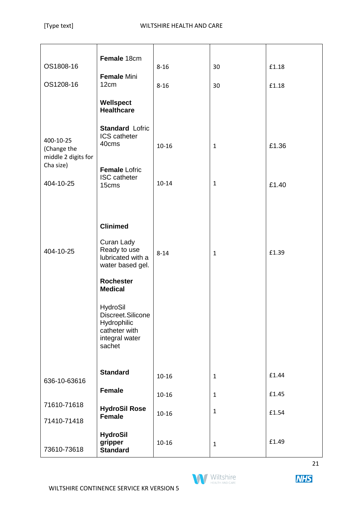| OS1808-16                                       | Female 18cm<br><b>Female Mini</b>                                                         | $8 - 16$  | 30           | £1.18 |
|-------------------------------------------------|-------------------------------------------------------------------------------------------|-----------|--------------|-------|
| OS1208-16                                       | 12cm                                                                                      | $8 - 16$  | 30           | £1.18 |
|                                                 | Wellspect<br><b>Healthcare</b>                                                            |           |              |       |
| 400-10-25<br>(Change the<br>middle 2 digits for | <b>Standard Lofric</b><br>ICS catheter<br>40cms                                           | $10 - 16$ | $\mathbf{1}$ | £1.36 |
| Cha size)<br>404-10-25                          | <b>Female Lofric</b><br><b>ISC</b> catheter<br>15cms                                      | $10 - 14$ | $\mathbf{1}$ | £1.40 |
|                                                 | <b>Clinimed</b><br>Curan Lady                                                             |           |              |       |
| 404-10-25                                       | Ready to use<br>lubricated with a<br>water based gel.                                     | $8 - 14$  | $\mathbf{1}$ | £1.39 |
|                                                 | <b>Rochester</b><br><b>Medical</b>                                                        |           |              |       |
|                                                 | HydroSil<br>Discreet.Silicone<br>Hydrophilic<br>catheter with<br>integral water<br>sachet |           |              |       |
| 636-10-63616                                    | <b>Standard</b>                                                                           | $10 - 16$ | $\mathbf{1}$ | £1.44 |
|                                                 | <b>Female</b>                                                                             | $10 - 16$ | $\mathbf{1}$ | £1.45 |
| 71610-71618<br>71410-71418                      | <b>HydroSil Rose</b><br><b>Female</b>                                                     | $10 - 16$ | $\mathbf{1}$ | £1.54 |
| 73610-73618                                     | <b>HydroSil</b><br>gripper<br><b>Standard</b>                                             | $10 - 16$ | $\mathbf{1}$ | £1.49 |

Wiltshire

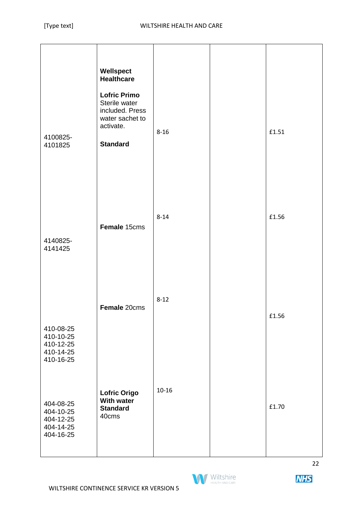| 4100825-<br>4101825                                                        | Wellspect<br><b>Healthcare</b><br><b>Lofric Primo</b><br>Sterile water<br>included. Press<br>water sachet to<br>activate.<br><b>Standard</b> | $8 - 16$  | £1.51 |
|----------------------------------------------------------------------------|----------------------------------------------------------------------------------------------------------------------------------------------|-----------|-------|
| 4140825-<br>4141425                                                        | Female 15cms                                                                                                                                 | $8 - 14$  | £1.56 |
| 410-08-25<br>410-10-25<br>410-12-25<br>410-14-25                           | Female 20cms                                                                                                                                 | $8 - 12$  | £1.56 |
| 410-16-25<br>404-08-25<br>404-10-25<br>404-12-25<br>404-14-25<br>404-16-25 | <b>Lofric Origo</b><br><b>With water</b><br><b>Standard</b><br>40cms                                                                         | $10 - 16$ | £1.70 |

**M** Wiltshire HEALTH AND CAR

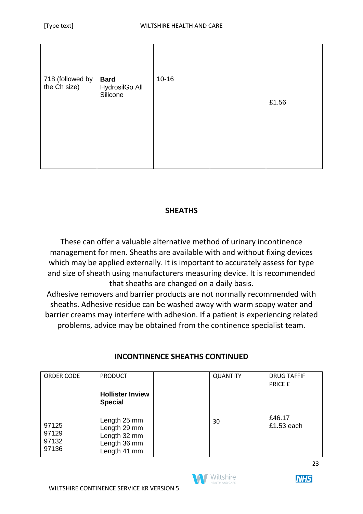| 718 (followed by<br>the Ch size) | <b>Bard</b><br>HydrosilGo All<br>Silicone | $10 - 16$ | £1.56 |
|----------------------------------|-------------------------------------------|-----------|-------|
|                                  |                                           |           |       |

## **SHEATHS**

These can offer a valuable alternative method of urinary incontinence management for men. Sheaths are available with and without fixing devices which may be applied externally. It is important to accurately assess for type and size of sheath using manufacturers measuring device. It is recommended that sheaths are changed on a daily basis.

Adhesive removers and barrier products are not normally recommended with sheaths. Adhesive residue can be washed away with warm soapy water and barrier creams may interfere with adhesion. If a patient is experiencing related problems, advice may be obtained from the continence specialist team.

| ORDER CODE                       | <b>PRODUCT</b>                                                               | <b>QUANTITY</b> | <b>DRUG TAFFIF</b><br><b>PRICE E</b> |
|----------------------------------|------------------------------------------------------------------------------|-----------------|--------------------------------------|
|                                  | <b>Hollister Inview</b><br><b>Special</b>                                    |                 |                                      |
| 97125<br>97129<br>97132<br>97136 | Length 25 mm<br>Length 29 mm<br>Length 32 mm<br>Length 36 mm<br>Length 41 mm | 30              | £46.17<br>£1.53 each                 |

# **INCONTINENCE SHEATHS CONTINUED**



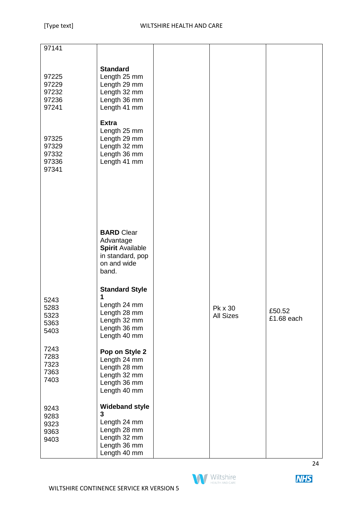| 97141                                     |                                                                                                            |                             |                      |
|-------------------------------------------|------------------------------------------------------------------------------------------------------------|-----------------------------|----------------------|
| 97225<br>97229<br>97232<br>97236<br>97241 | <b>Standard</b><br>Length 25 mm<br>Length 29 mm<br>Length 32 mm<br>Length 36 mm<br>Length 41 mm            |                             |                      |
| 97325<br>97329<br>97332<br>97336<br>97341 | <b>Extra</b><br>Length 25 mm<br>Length 29 mm<br>Length 32 mm<br>Length 36 mm<br>Length 41 mm               |                             |                      |
|                                           | <b>BARD</b> Clear<br>Advantage<br><b>Spirit Available</b><br>in standard, pop<br>on and wide<br>band.      |                             |                      |
| 5243<br>5283<br>5323<br>5363<br>5403      | <b>Standard Style</b><br>1<br>Length 24 mm<br>Length 28 mm<br>Length 32 mm<br>Length 36 mm<br>Length 40 mm | Pk x 30<br><b>All Sizes</b> | £50.52<br>£1.68 each |
| 7243<br>7283<br>7323<br>7363<br>7403      | Pop on Style 2<br>Length 24 mm<br>Length 28 mm<br>Length 32 mm<br>Length 36 mm<br>Length 40 mm             |                             |                      |
| 9243<br>9283<br>9323<br>9363<br>9403      | <b>Wideband style</b><br>3<br>Length 24 mm<br>Length 28 mm<br>Length 32 mm<br>Length 36 mm<br>Length 40 mm |                             |                      |



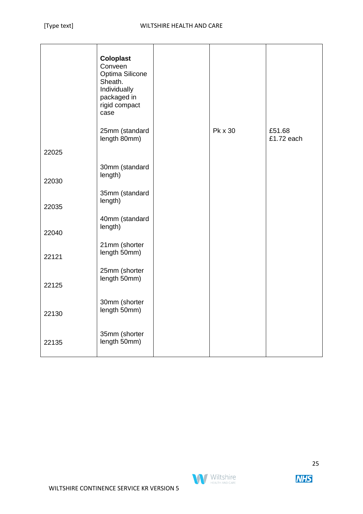|       | <b>Coloplast</b><br>Conveen<br>Optima Silicone<br>Sheath.<br>Individually<br>packaged in<br>rigid compact<br>case |         |                      |
|-------|-------------------------------------------------------------------------------------------------------------------|---------|----------------------|
|       | 25mm (standard<br>length 80mm)                                                                                    | Pk x 30 | £51.68<br>£1.72 each |
| 22025 |                                                                                                                   |         |                      |
| 22030 | 30mm (standard<br>length)                                                                                         |         |                      |
| 22035 | 35mm (standard<br>length)                                                                                         |         |                      |
| 22040 | 40mm (standard<br>length)                                                                                         |         |                      |
| 22121 | 21mm (shorter<br>length 50mm)                                                                                     |         |                      |
| 22125 | 25mm (shorter<br>length 50mm)                                                                                     |         |                      |
| 22130 | 30mm (shorter<br>length 50mm)                                                                                     |         |                      |
| 22135 | 35mm (shorter<br>length 50mm)                                                                                     |         |                      |

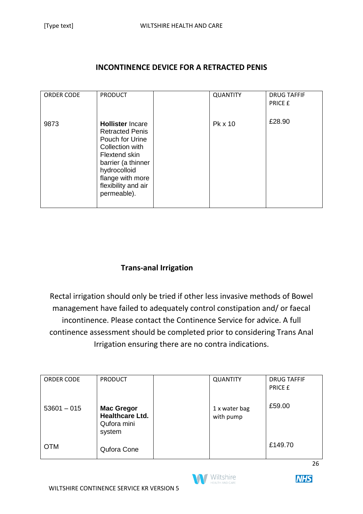#### **INCONTINENCE DEVICE FOR A RETRACTED PENIS**

| ORDER CODE | <b>PRODUCT</b>                     | <b>QUANTITY</b> | <b>DRUG TAFFIF</b> |
|------------|------------------------------------|-----------------|--------------------|
|            |                                    |                 | PRICE £            |
|            |                                    |                 |                    |
|            |                                    |                 |                    |
|            |                                    |                 |                    |
| 9873       | <b>Hollister Incare</b>            | Pk x 10         | £28.90             |
|            |                                    |                 |                    |
|            | <b>Retracted Penis</b>             |                 |                    |
|            | Pouch for Urine                    |                 |                    |
|            |                                    |                 |                    |
|            | Collection with                    |                 |                    |
|            | Flextend skin                      |                 |                    |
|            |                                    |                 |                    |
|            | barrier (a thinner                 |                 |                    |
|            | hydrocolloid                       |                 |                    |
|            |                                    |                 |                    |
|            | flange with more                   |                 |                    |
|            |                                    |                 |                    |
|            |                                    |                 |                    |
|            |                                    |                 |                    |
|            |                                    |                 |                    |
|            |                                    |                 |                    |
|            | flexibility and air<br>permeable). |                 |                    |

## **Trans-anal Irrigation**

Rectal irrigation should only be tried if other less invasive methods of Bowel management have failed to adequately control constipation and/ or faecal incontinence. Please contact the Continence Service for advice. A full continence assessment should be completed prior to considering Trans Anal Irrigation ensuring there are no contra indications.

| ORDER CODE    | <b>PRODUCT</b>                                                       | <b>QUANTITY</b>            | <b>DRUG TAFFIF</b><br>PRICE £ |
|---------------|----------------------------------------------------------------------|----------------------------|-------------------------------|
| $53601 - 015$ | <b>Mac Gregor</b><br><b>Healthcare Ltd.</b><br>Qufora mini<br>system | 1 x water bag<br>with pump | £59.00                        |
| <b>OTM</b>    | Qufora Cone                                                          |                            | £149.70                       |



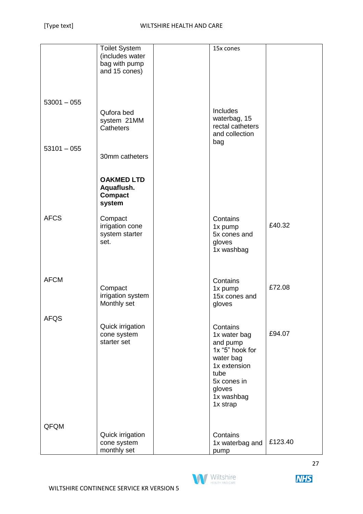|               | <b>Toilet System</b> | 15x cones                   |         |
|---------------|----------------------|-----------------------------|---------|
|               | (includes water      |                             |         |
|               | bag with pump        |                             |         |
|               | and 15 cones)        |                             |         |
|               |                      |                             |         |
|               |                      |                             |         |
|               |                      |                             |         |
|               |                      |                             |         |
| $53001 - 055$ |                      |                             |         |
|               | Qufora bed           | <b>Includes</b>             |         |
|               | system 21MM          | waterbag, 15                |         |
|               | Catheters            | rectal catheters            |         |
|               |                      | and collection              |         |
|               |                      | bag                         |         |
| $53101 - 055$ |                      |                             |         |
|               | 30mm catheters       |                             |         |
|               |                      |                             |         |
|               |                      |                             |         |
|               | <b>OAKMED LTD</b>    |                             |         |
|               | Aquaflush.           |                             |         |
|               | <b>Compact</b>       |                             |         |
|               | system               |                             |         |
|               |                      |                             |         |
| <b>AFCS</b>   | Compact              | Contains                    |         |
|               | irrigation cone      | 1x pump                     | £40.32  |
|               | system starter       | 5x cones and                |         |
|               | set.                 | gloves                      |         |
|               |                      | 1x washbag                  |         |
|               |                      |                             |         |
|               |                      |                             |         |
|               |                      |                             |         |
| <b>AFCM</b>   |                      | Contains                    |         |
|               | Compact              | 1x pump                     | £72.08  |
|               | irrigation system    | 15x cones and               |         |
|               | Monthly set          | gloves                      |         |
|               |                      |                             |         |
| <b>AFQS</b>   |                      |                             |         |
|               | Quick irrigation     | Contains                    |         |
|               | cone system          | 1x water bag                | £94.07  |
|               | starter set          |                             |         |
|               |                      | and pump<br>1x "5" hook for |         |
|               |                      |                             |         |
|               |                      | water bag                   |         |
|               |                      | 1x extension                |         |
|               |                      | tube                        |         |
|               |                      | 5x cones in                 |         |
|               |                      | gloves                      |         |
|               |                      | 1x washbag                  |         |
|               |                      | 1x strap                    |         |
|               |                      |                             |         |
|               |                      |                             |         |
| QFQM          |                      |                             |         |
|               | Quick irrigation     | Contains                    |         |
|               | cone system          | 1x waterbag and             | £123.40 |
|               | monthly set          | pump                        |         |

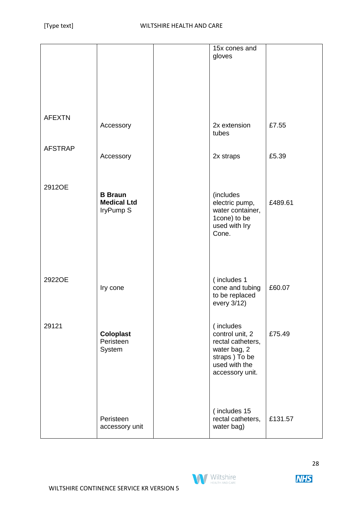|                |                             | 15x cones and                     |         |
|----------------|-----------------------------|-----------------------------------|---------|
|                |                             | gloves                            |         |
|                |                             |                                   |         |
|                |                             |                                   |         |
|                |                             |                                   |         |
| <b>AFEXTN</b>  |                             |                                   |         |
|                | Accessory                   | 2x extension                      | £7.55   |
|                |                             | tubes                             |         |
| <b>AFSTRAP</b> | Accessory                   | 2x straps                         | £5.39   |
|                |                             |                                   |         |
|                |                             |                                   |         |
| 2912OE         | <b>B</b> Braun              | (includes                         |         |
|                | <b>Medical Ltd</b>          | electric pump,                    | £489.61 |
|                | IryPump S                   | water container,<br>1cone) to be  |         |
|                |                             | used with Iry<br>Cone.            |         |
|                |                             |                                   |         |
|                |                             |                                   |         |
|                |                             |                                   |         |
| 2922OE         |                             | (includes 1                       | £60.07  |
|                | Iry cone                    | cone and tubing<br>to be replaced |         |
|                |                             | every 3/12)                       |         |
| 29121          |                             | (includes                         |         |
|                | <b>Coloplast</b>            | control unit, 2                   | £75.49  |
|                | Peristeen<br>System         | rectal catheters,<br>water bag, 2 |         |
|                |                             | straps) To be<br>used with the    |         |
|                |                             | accessory unit.                   |         |
|                |                             |                                   |         |
|                |                             |                                   |         |
|                |                             | (includes 15                      |         |
|                | Peristeen<br>accessory unit | rectal catheters,<br>water bag)   | £131.57 |
|                |                             |                                   |         |

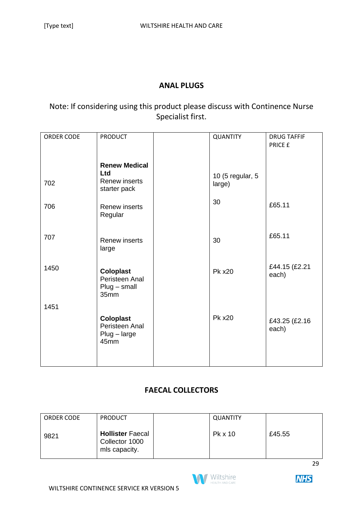#### **ANAL PLUGS**

# Note: If considering using this product please discuss with Continence Nurse Specialist first.

| ORDER CODE | <b>PRODUCT</b>                                                      | QUANTITY                   | <b>DRUG TAFFIF</b><br>PRICE £ |
|------------|---------------------------------------------------------------------|----------------------------|-------------------------------|
|            |                                                                     |                            |                               |
| 702        | <b>Renew Medical</b><br><b>Ltd</b><br>Renew inserts<br>starter pack | 10 (5 regular, 5<br>large) |                               |
| 706        | <b>Renew inserts</b><br>Regular                                     | 30                         | £65.11                        |
| 707        | <b>Renew inserts</b><br>large                                       | 30                         | £65.11                        |
| 1450       | <b>Coloplast</b><br>Peristeen Anal<br>$Plug - small$<br>35mm        | <b>Pk x20</b>              | £44.15 (£2.21<br>each)        |
| 1451       |                                                                     |                            |                               |
|            | <b>Coloplast</b><br>Peristeen Anal<br>$Plug - large$<br>45mm        | <b>Pk x20</b>              | £43.25 (£2.16<br>each)        |

# **FAECAL COLLECTORS**

| <b>ORDER CODE</b> | <b>PRODUCT</b>                                             | <b>QUANTITY</b> |        |
|-------------------|------------------------------------------------------------|-----------------|--------|
| 9821              | <b>Hollister Faecal</b><br>Collector 1000<br>mls capacity. | Pk x 10         | £45.55 |

29



**NHS**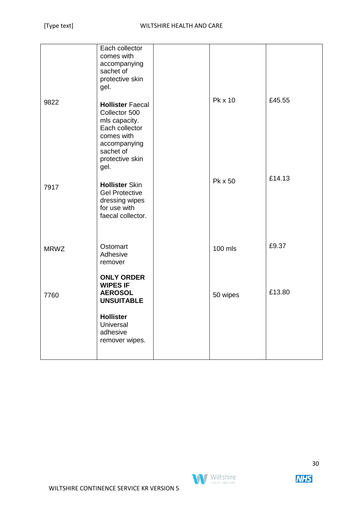|             | Each collector<br>comes with<br>accompanying<br>sachet of<br>protective skin<br>gel.                                                              |          |        |
|-------------|---------------------------------------------------------------------------------------------------------------------------------------------------|----------|--------|
| 9822        | <b>Hollister Faecal</b><br>Collector 500<br>mls capacity.<br>Each collector<br>comes with<br>accompanying<br>sachet of<br>protective skin<br>gel. | Pk x 10  | £45.55 |
| 7917        | <b>Hollister Skin</b><br><b>Gel Protective</b><br>dressing wipes<br>for use with<br>faecal collector.                                             | Pk x 50  | £14.13 |
| <b>MRWZ</b> | Ostomart<br>Adhesive<br>remover                                                                                                                   | 100 mls  | £9.37  |
| 7760        | <b>ONLY ORDER</b><br><b>WIPES IF</b><br><b>AEROSOL</b><br><b>UNSUITABLE</b>                                                                       | 50 wipes | £13.80 |
|             | <b>Hollister</b><br>Universal<br>adhesive<br>remover wipes.                                                                                       |          |        |

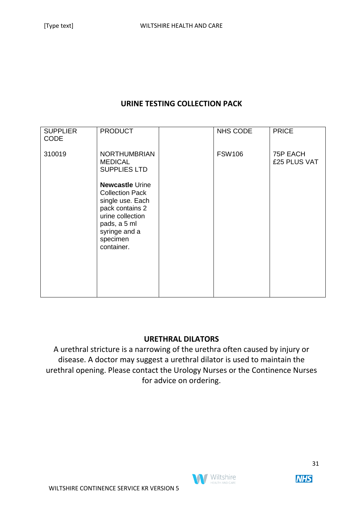#### **URINE TESTING COLLECTION PACK**

| <b>SUPPLIER</b><br><b>CODE</b> | <b>PRODUCT</b>                                                                                                                                                         | <b>NHS CODE</b> | <b>PRICE</b>             |
|--------------------------------|------------------------------------------------------------------------------------------------------------------------------------------------------------------------|-----------------|--------------------------|
| 310019                         | <b>NORTHUMBRIAN</b><br><b>MEDICAL</b><br><b>SUPPLIES LTD</b>                                                                                                           | <b>FSW106</b>   | 75P EACH<br>£25 PLUS VAT |
|                                | <b>Newcastle Urine</b><br><b>Collection Pack</b><br>single use. Each<br>pack contains 2<br>urine collection<br>pads, a 5 ml<br>syringe and a<br>specimen<br>container. |                 |                          |

#### **URETHRAL DILATORS**

A urethral stricture is a narrowing of the urethra often caused by injury or disease. A doctor may suggest a urethral dilator is used to maintain the urethral opening. Please contact the Urology Nurses or the Continence Nurses for advice on ordering.

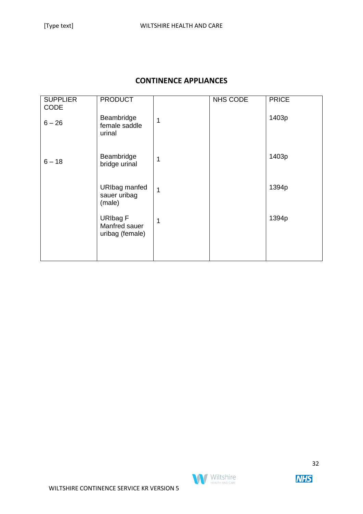## **CONTINENCE APPLIANCES**

| <b>SUPPLIER</b><br><b>CODE</b> | <b>PRODUCT</b>                                      |   | NHS CODE | <b>PRICE</b> |
|--------------------------------|-----------------------------------------------------|---|----------|--------------|
| $6 - 26$                       | Beambridge<br>female saddle<br>urinal               | 1 |          | 1403p        |
| $6 - 18$                       | Beambridge<br>bridge urinal                         | 1 |          | 1403p        |
|                                | <b>URIbag manfed</b><br>sauer uribag<br>(male)      | 1 |          | 1394p        |
|                                | <b>URIbag F</b><br>Manfred sauer<br>uribag (female) | 1 |          | 1394p        |
|                                |                                                     |   |          |              |



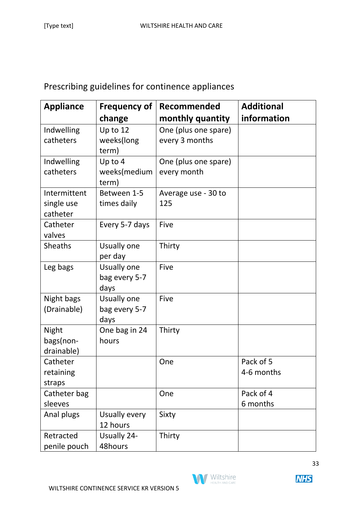# Prescribing guidelines for continence appliances

| <b>Appliance</b> | <b>Frequency of</b> | Recommended          | <b>Additional</b> |
|------------------|---------------------|----------------------|-------------------|
|                  | change              | monthly quantity     | information       |
| Indwelling       | Up to 12            | One (plus one spare) |                   |
| catheters        | weeks(long          | every 3 months       |                   |
|                  | term)               |                      |                   |
| Indwelling       | Up to 4             | One (plus one spare) |                   |
| catheters        | weeks(medium        | every month          |                   |
|                  | term)               |                      |                   |
| Intermittent     | Between 1-5         | Average use - 30 to  |                   |
| single use       | times daily         | 125                  |                   |
| catheter         |                     |                      |                   |
| Catheter         | Every 5-7 days      | Five                 |                   |
| valves           |                     |                      |                   |
| <b>Sheaths</b>   | Usually one         | Thirty               |                   |
|                  | per day             |                      |                   |
| Leg bags         | Usually one         | Five                 |                   |
|                  | bag every 5-7       |                      |                   |
|                  | days                |                      |                   |
| Night bags       | Usually one         | Five                 |                   |
| (Drainable)      | bag every 5-7       |                      |                   |
|                  | days                |                      |                   |
| <b>Night</b>     | One bag in 24       | Thirty               |                   |
| bags(non-        | hours               |                      |                   |
| drainable)       |                     |                      |                   |
| Catheter         |                     | One                  | Pack of 5         |
| retaining        |                     |                      | 4-6 months        |
| straps           |                     |                      |                   |
| Catheter bag     |                     | One                  | Pack of 4         |
| sleeves          |                     |                      | 6 months          |
| Anal plugs       | Usually every       | Sixty                |                   |
|                  | 12 hours            |                      |                   |
| Retracted        | <b>Usually 24-</b>  | Thirty               |                   |
| penile pouch     | 48hours             |                      |                   |

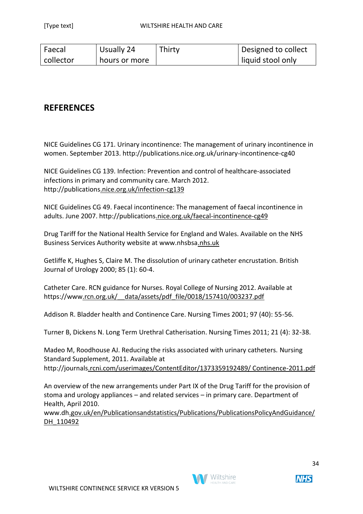| Faecal    | Usually 24    | Thirty | Designed to collect |
|-----------|---------------|--------|---------------------|
| collector | hours or more |        | liquid stool only   |

# **REFERENCES**

NICE Guidelines CG 171. Urinary incontinence: The management of urinary incontinence in women. September 2013. http://publications.nice.org.uk/urinary-incontinence-cg40

NICE Guidelines CG 139. Infection: Prevention and control of healthcare-associated infections in primary and community care. March 2012. http://publications.nice.org.uk/infection-cg139

NICE Guidelines CG 49. Faecal incontinence: The management of faecal incontinence in adults. June 2007. http://publications.nice.org.uk/faecal-incontinence-cg49

Drug Tariff for the National Health Service for England and Wales. Available on the NHS Business Services Authority website at www.nhsbsa.nhs.uk

Getliffe K, Hughes S, Claire M. The dissolution of urinary catheter encrustation. British Journal of Urology 2000; 85 (1): 60-4.

Catheter Care. RCN guidance for Nurses. Royal College of Nursing 2012. Available at https://www.rcn.org.uk/\_\_data/assets/pdf\_file/0018/157410/003237.pdf

Addison R. Bladder health and Continence Care. Nursing Times 2001; 97 (40): 55-56.

Turner B, Dickens N. Long Term Urethral Catherisation. Nursing Times 2011; 21 (4): 32-38.

Madeo M, Roodhouse AJ. Reducing the risks associated with urinary catheters. Nursing Standard Supplement, 2011. Available at http://journals.rcni.com/userimages/ContentEditor/1373359192489/ Continence-2011.pdf

An overview of the new arrangements under Part IX of the Drug Tariff for the provision of stoma and urology appliances – and related services – in primary care. Department of Health, April 2010.

www.dh.gov.uk/en/Publicationsandstatistics/Publications/PublicationsPolicyAndGuidance/ DH 110492

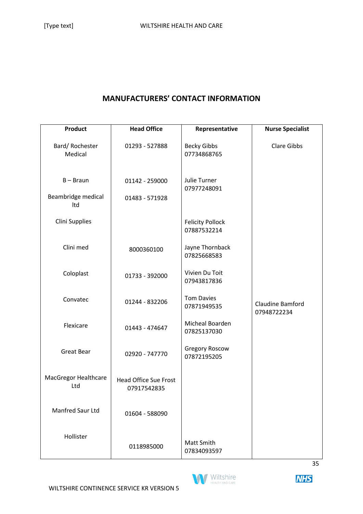#### **MANUFACTURERS' CONTACT INFORMATION**

| Product                     | <b>Head Office</b>                          | Representative                         | <b>Nurse Specialist</b>         |
|-----------------------------|---------------------------------------------|----------------------------------------|---------------------------------|
| Bard/Rochester<br>Medical   | 01293 - 527888                              | <b>Becky Gibbs</b><br>07734868765      | <b>Clare Gibbs</b>              |
| $B - Braun$                 | 01142 - 259000                              | Julie Turner<br>07977248091            |                                 |
| Beambridge medical<br>Itd   | 01483 - 571928                              |                                        |                                 |
| <b>Clini Supplies</b>       |                                             | <b>Felicity Pollock</b><br>07887532214 |                                 |
| Clini med                   | 8000360100                                  | Jayne Thornback<br>07825668583         |                                 |
| Coloplast                   | 01733 - 392000                              | Vivien Du Toit<br>07943817836          |                                 |
| Convatec                    | 01244 - 832206                              | <b>Tom Davies</b><br>07871949535       | Claudine Bamford<br>07948722234 |
| Flexicare                   | 01443 - 474647                              | Micheal Boarden<br>07825137030         |                                 |
| <b>Great Bear</b>           | 02920 - 747770                              | <b>Gregory Roscow</b><br>07872195205   |                                 |
| MacGregor Healthcare<br>Ltd | <b>Head Office Sue Frost</b><br>07917542835 |                                        |                                 |
| Manfred Saur Ltd            | 01604 - 588090                              |                                        |                                 |
| Hollister                   | 0118985000                                  | Matt Smith<br>07834093597              |                                 |